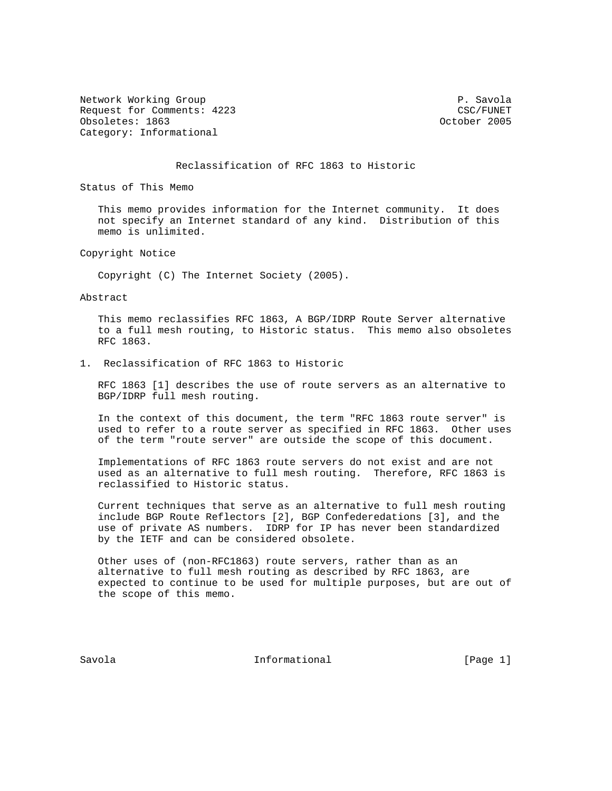Network Working Group **P. Savola** Request for Comments: 4223 CSC/FUNET<br>
CSC/FUNET<br>
Obsoletes: 1863 Obsoletes: 1863 Category: Informational

## Reclassification of RFC 1863 to Historic

Status of This Memo

 This memo provides information for the Internet community. It does not specify an Internet standard of any kind. Distribution of this memo is unlimited.

Copyright Notice

Copyright (C) The Internet Society (2005).

Abstract

 This memo reclassifies RFC 1863, A BGP/IDRP Route Server alternative to a full mesh routing, to Historic status. This memo also obsoletes RFC 1863.

1. Reclassification of RFC 1863 to Historic

 RFC 1863 [1] describes the use of route servers as an alternative to BGP/IDRP full mesh routing.

 In the context of this document, the term "RFC 1863 route server" is used to refer to a route server as specified in RFC 1863. Other uses of the term "route server" are outside the scope of this document.

 Implementations of RFC 1863 route servers do not exist and are not used as an alternative to full mesh routing. Therefore, RFC 1863 is reclassified to Historic status.

 Current techniques that serve as an alternative to full mesh routing include BGP Route Reflectors [2], BGP Confederedations [3], and the use of private AS numbers. IDRP for IP has never been standardized by the IETF and can be considered obsolete.

 Other uses of (non-RFC1863) route servers, rather than as an alternative to full mesh routing as described by RFC 1863, are expected to continue to be used for multiple purposes, but are out of the scope of this memo.

Savola **Informational** Informational [Page 1]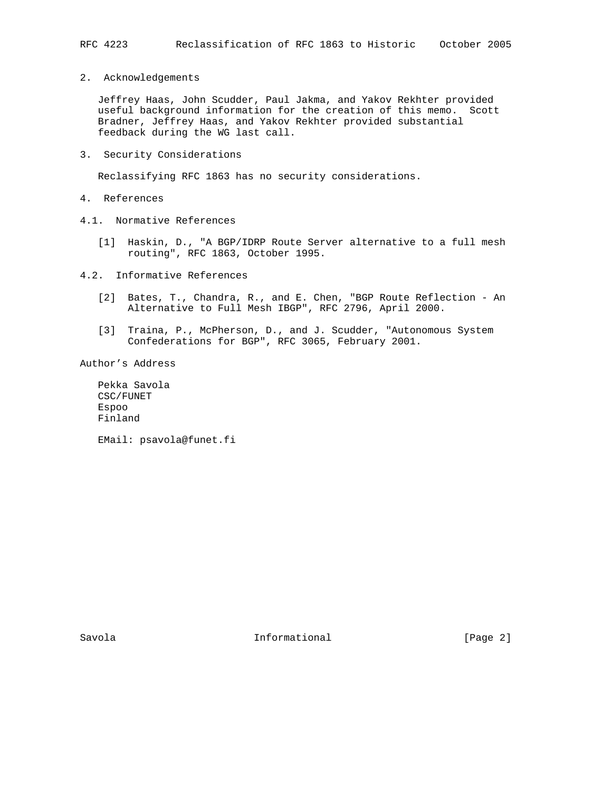2. Acknowledgements

 Jeffrey Haas, John Scudder, Paul Jakma, and Yakov Rekhter provided useful background information for the creation of this memo. Scott Bradner, Jeffrey Haas, and Yakov Rekhter provided substantial feedback during the WG last call.

3. Security Considerations

Reclassifying RFC 1863 has no security considerations.

- 4. References
- 4.1. Normative References
	- [1] Haskin, D., "A BGP/IDRP Route Server alternative to a full mesh routing", RFC 1863, October 1995.
- 4.2. Informative References
	- [2] Bates, T., Chandra, R., and E. Chen, "BGP Route Reflection An Alternative to Full Mesh IBGP", RFC 2796, April 2000.
	- [3] Traina, P., McPherson, D., and J. Scudder, "Autonomous System Confederations for BGP", RFC 3065, February 2001.

Author's Address

 Pekka Savola CSC/FUNET Espoo Finland

EMail: psavola@funet.fi

Savola **Informational** Informational [Page 2]